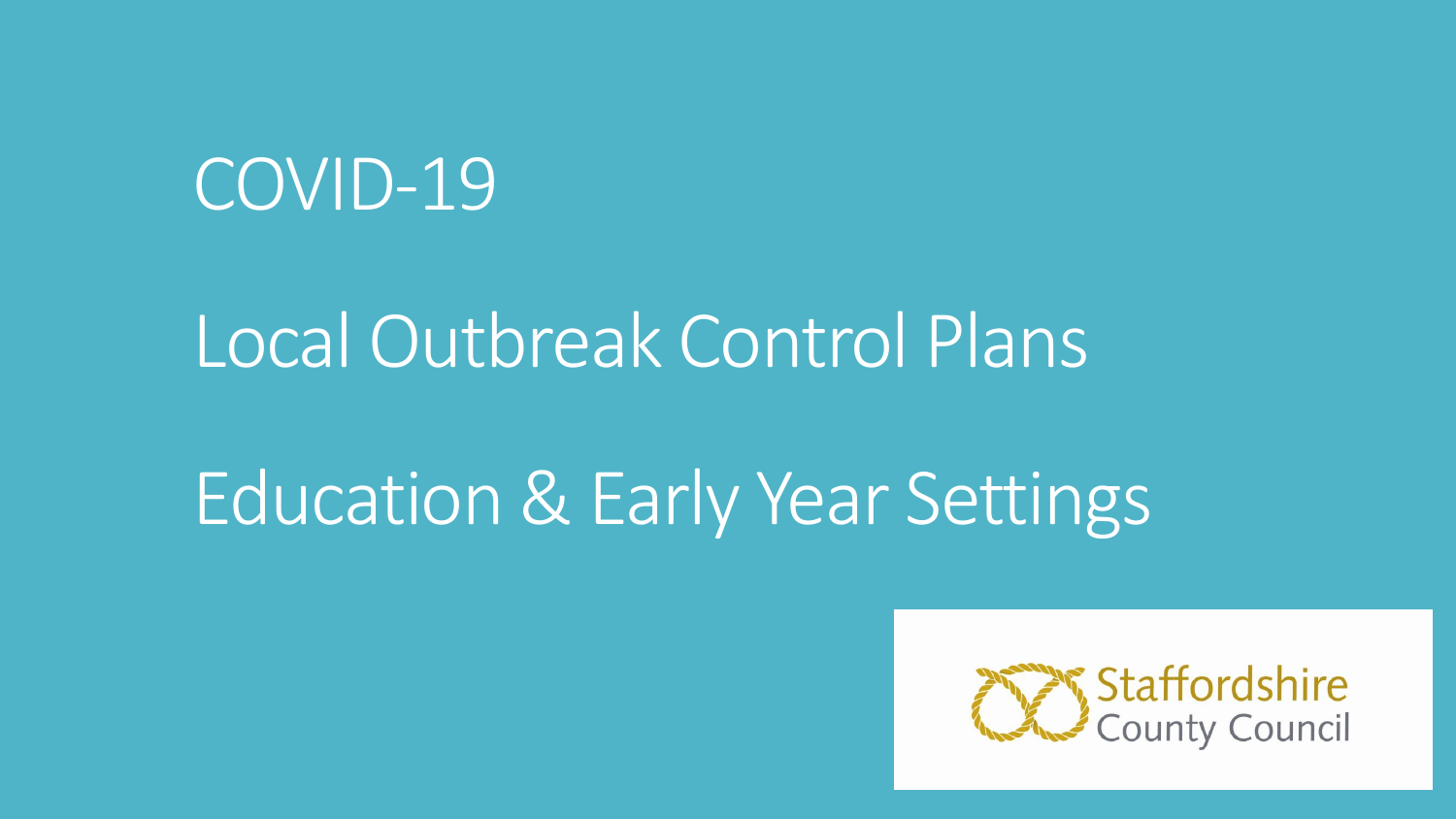## COVID-19

## Local Outbreak Control Plans

# Education & Early Year Settings

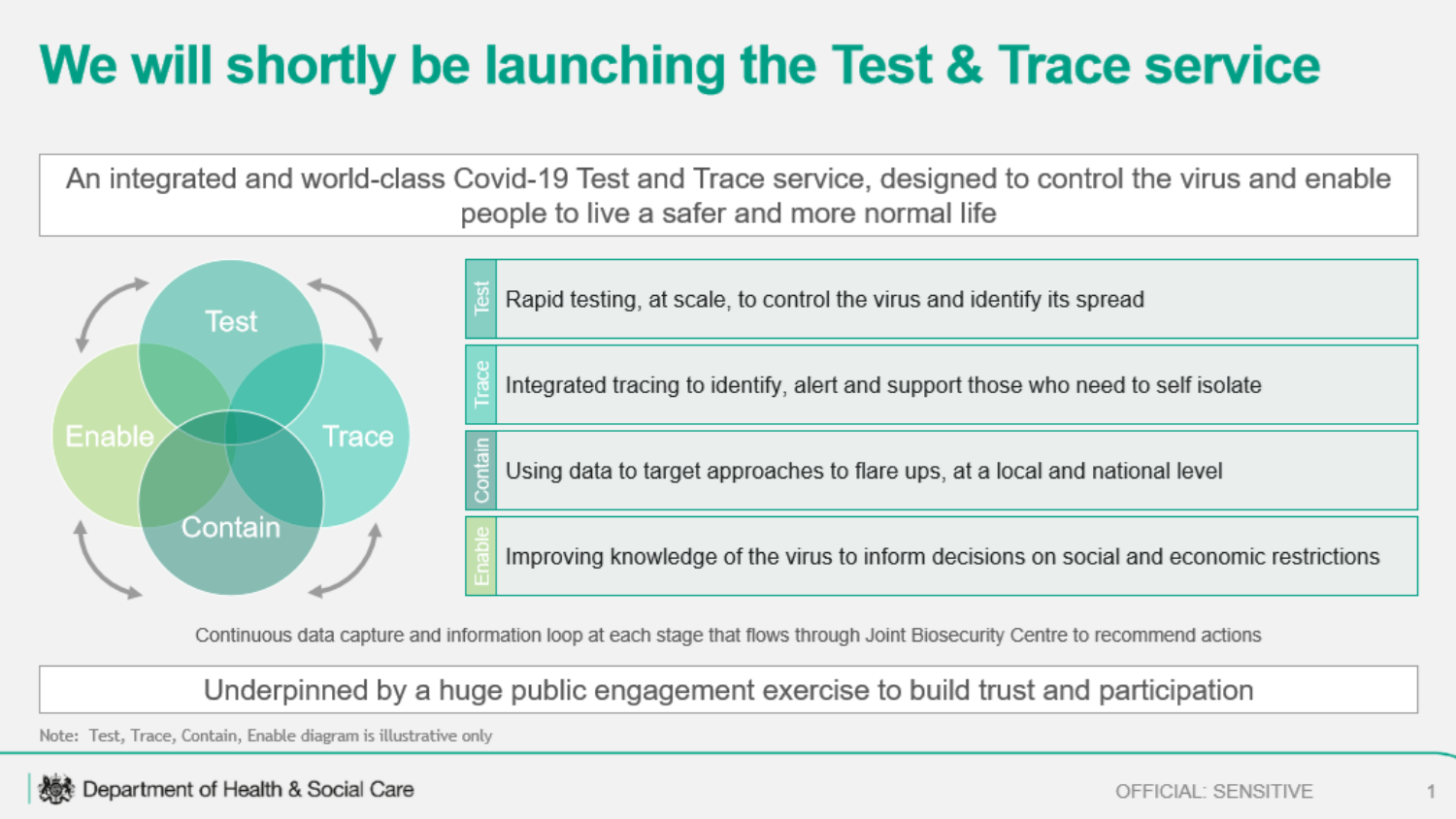## We will shortly be launching the Test & Trace service

An integrated and world-class Covid-19 Test and Trace service, designed to control the virus and enable people to live a safer and more normal life



Continuous data capture and information loop at each stage that flows through Joint Biosecurity Centre to recommend actions

Underpinned by a huge public engagement exercise to build trust and participation

Note: Test, Trace, Contain, Enable diagram is illustrative only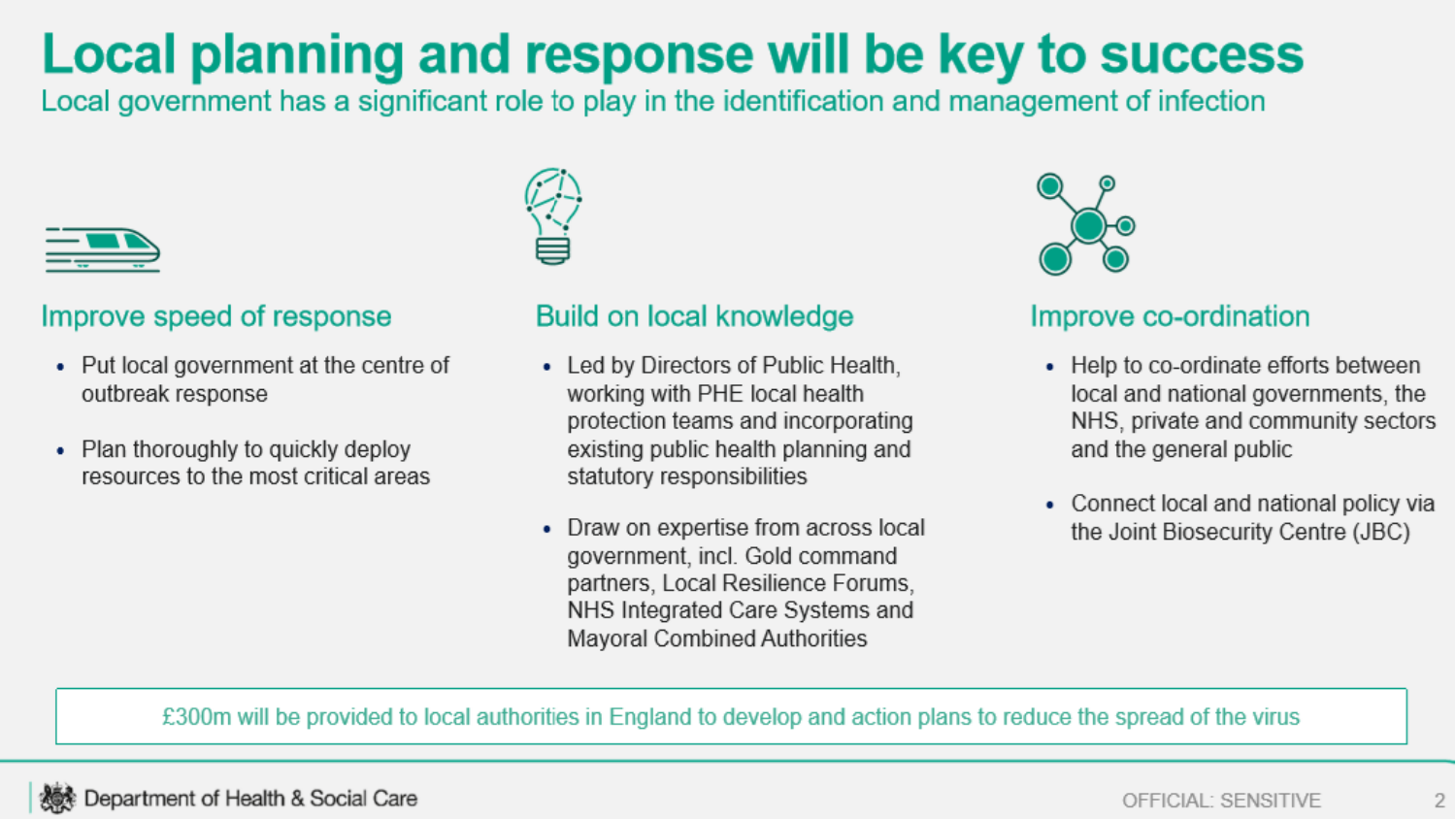### Local planning and response will be key to success

Local government has a significant role to play in the identification and management of infection



#### Improve speed of response

- Put local government at the centre of outbreak response
- Plan thoroughly to quickly deploy resources to the most critical areas



#### Build on local knowledge

- Led by Directors of Public Health, working with PHE local health protection teams and incorporating existing public health planning and statutory responsibilities
- Draw on expertise from across local government, incl. Gold command partners, Local Resilience Forums, NHS Integrated Care Systems and **Mayoral Combined Authorities**



#### Improve co-ordination

- Help to co-ordinate efforts between local and national governments, the NHS, private and community sectors and the general public
- Connect local and national policy via the Joint Biosecurity Centre (JBC)

£300m will be provided to local authorities in England to develop and action plans to reduce the spread of the virus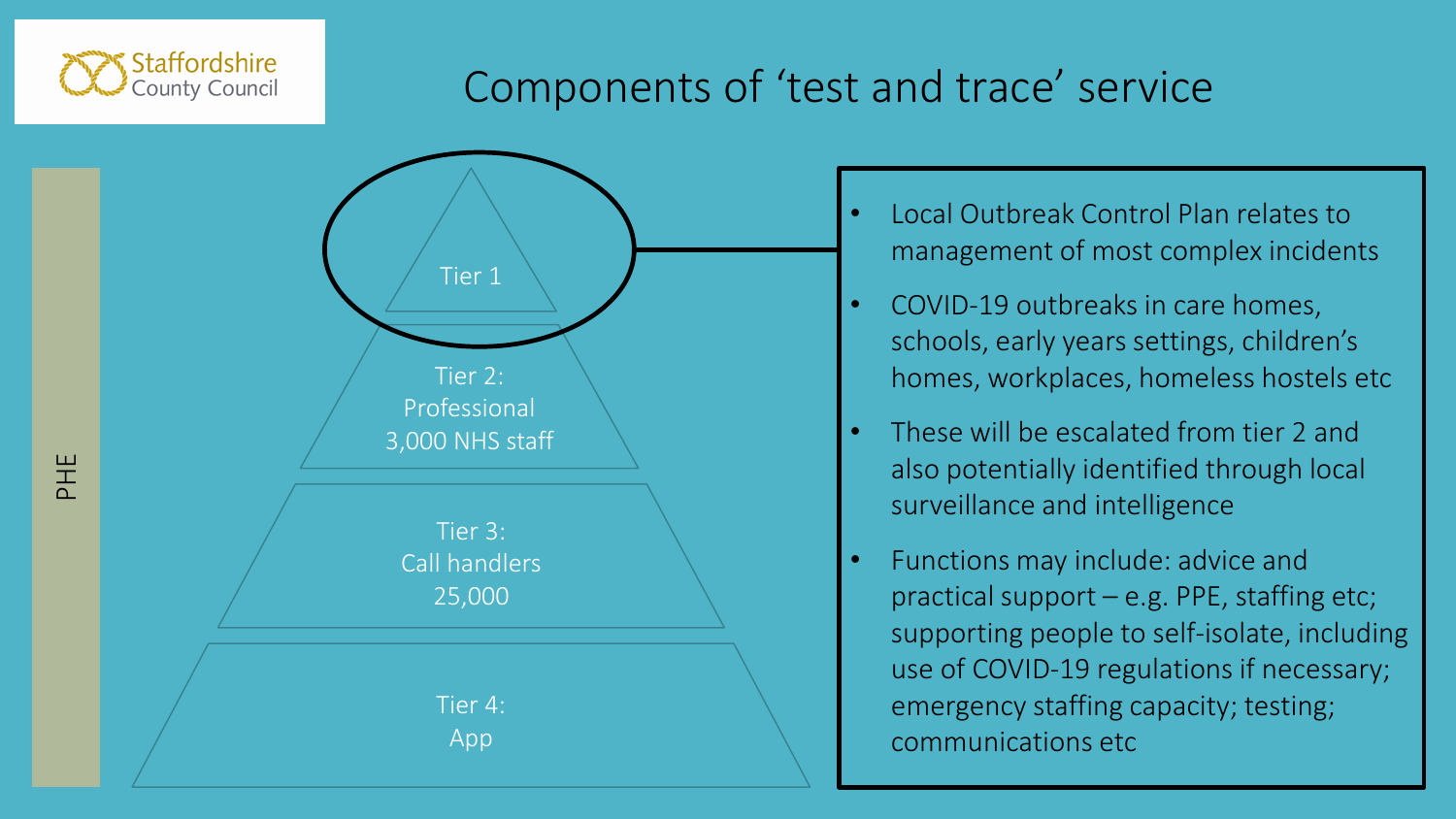

PHE

### Components of 'test and trace' service



- Local Outbreak Control Plan relates to management of most complex incidents
- COVID-19 outbreaks in care homes, schools, early years settings, children's homes, workplaces, homeless hostels etc
- These will be escalated from tier 2 and also potentially identified through local surveillance and intelligence
- Functions may include: advice and practical support – e.g. PPE, staffing etc; supporting people to self-isolate, including use of COVID-19 regulations if necessary; emergency staffing capacity; testing; communications etc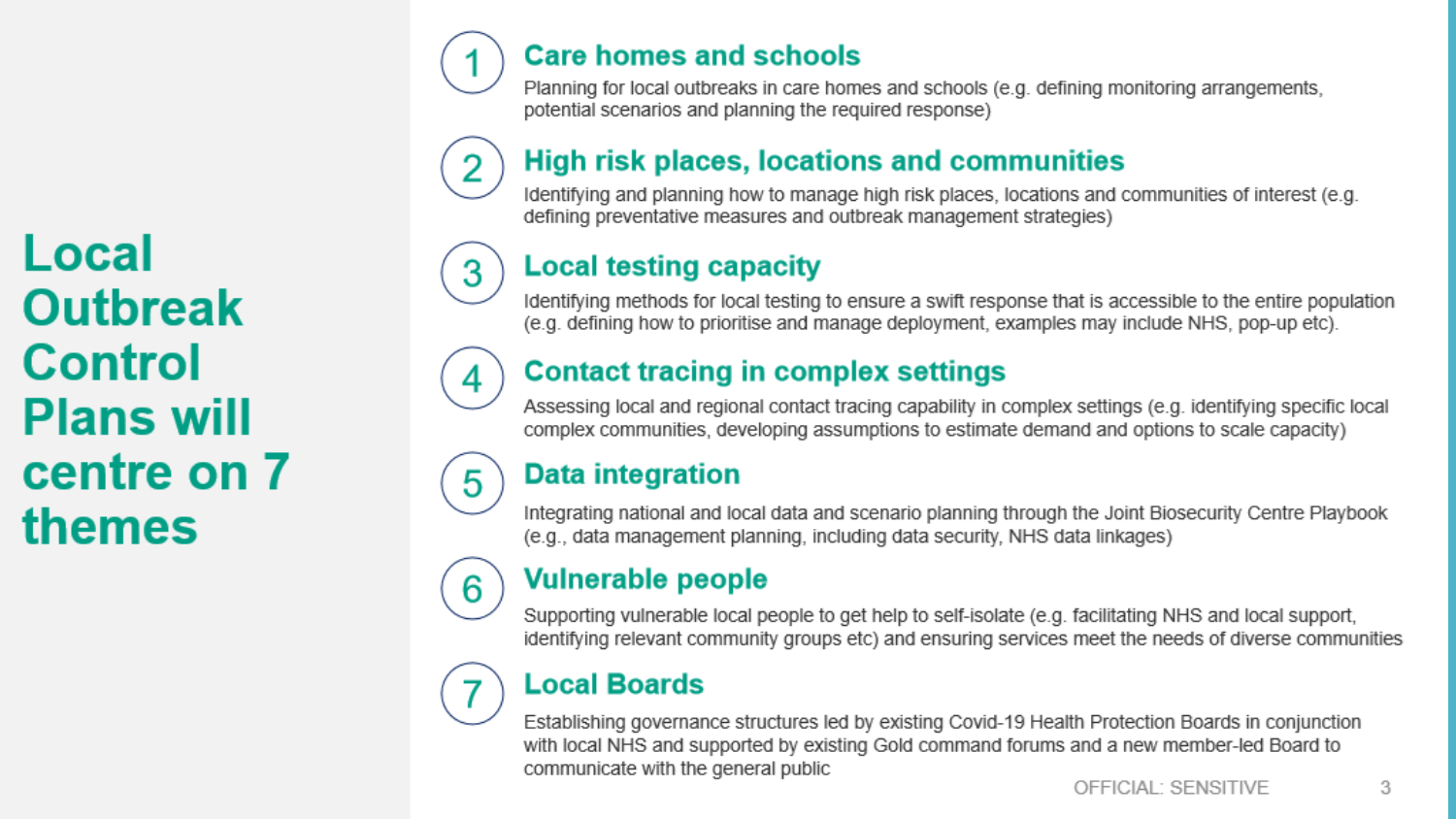Local **Outbreak Control Plans will** centre on 7 themes

#### **Care homes and schools**

Planning for local outbreaks in care homes and schools (e.g. defining monitoring arrangements, potential scenarios and planning the required response)

### **High risk places, locations and communities**

Identifying and planning how to manage high risk places, locations and communities of interest (e.g. defining preventative measures and outbreak management strategies)

#### **Local testing capacity**

Identifying methods for local testing to ensure a swift response that is accessible to the entire population (e.g. defining how to prioritise and manage deployment, examples may include NHS, pop-up etc).

#### **Contact tracing in complex settings**

Assessing local and regional contact tracing capability in complex settings (e.g. identifying specific local complex communities, developing assumptions to estimate demand and options to scale capacity)

#### **Data integration**

4

5

6

Integrating national and local data and scenario planning through the Joint Biosecurity Centre Playbook (e.g., data management planning, including data security, NHS data linkages)

#### **Vulnerable people**

Supporting vulnerable local people to get help to self-isolate (e.g. facilitating NHS and local support, identifying relevant community groups etc) and ensuring services meet the needs of diverse communities

#### **Local Boards**

Establishing governance structures led by existing Covid-19 Health Protection Boards in conjunction with local NHS and supported by existing Gold command forums and a new member-led Board to communicate with the general public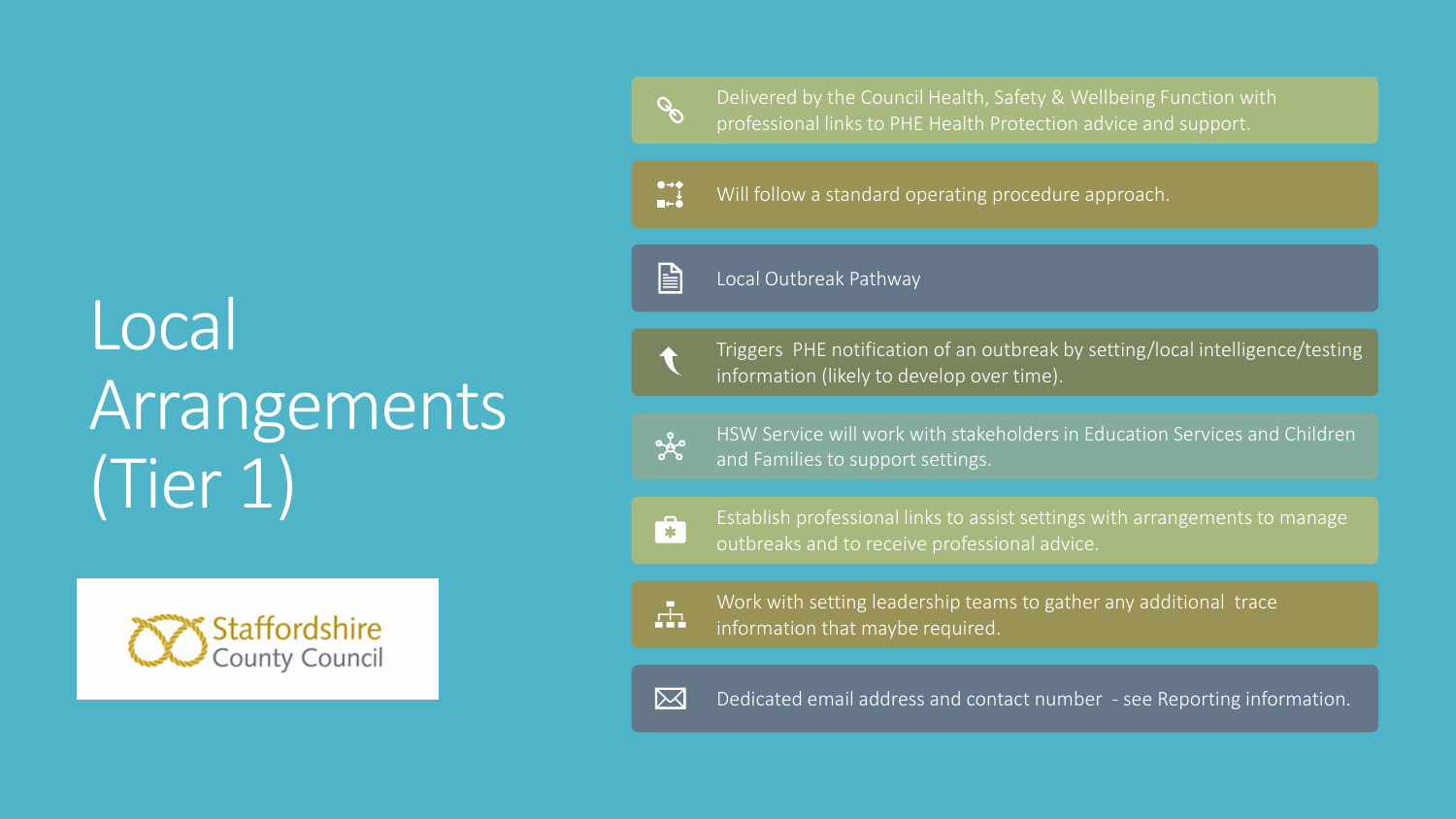# Local Arrangements (Tier 1)



Delivered by the Council Health, Safety & Wellbeing Function with professional links to PHE Health Protection advice and support.

 $\begin{array}{c}\n\bullet \rightarrow \bullet \\
\bullet \\
\blacksquare \leftarrow \bullet\n\end{array}$ Will follow a standard operating procedure approach.

Local Outbreak Pathway

Triggers PHE notification of an outbreak by setting/local intelligence/testing information (likely to develop over time).

HSW Service will work with stakeholders in Education Services and Children and Families to support settings.

 $\mathbf{r}$ 

 $\frac{1}{\sigma_0}$ 

 $\mathscr{S}$ 

 $\mathbf{E}$ 

Establish professional links to assist settings with arrangements to manage outbreaks and to receive professional advice.



Work with setting leadership teams to gather any additional trace information that maybe required.



Dedicated email address and contact number - see Reporting information.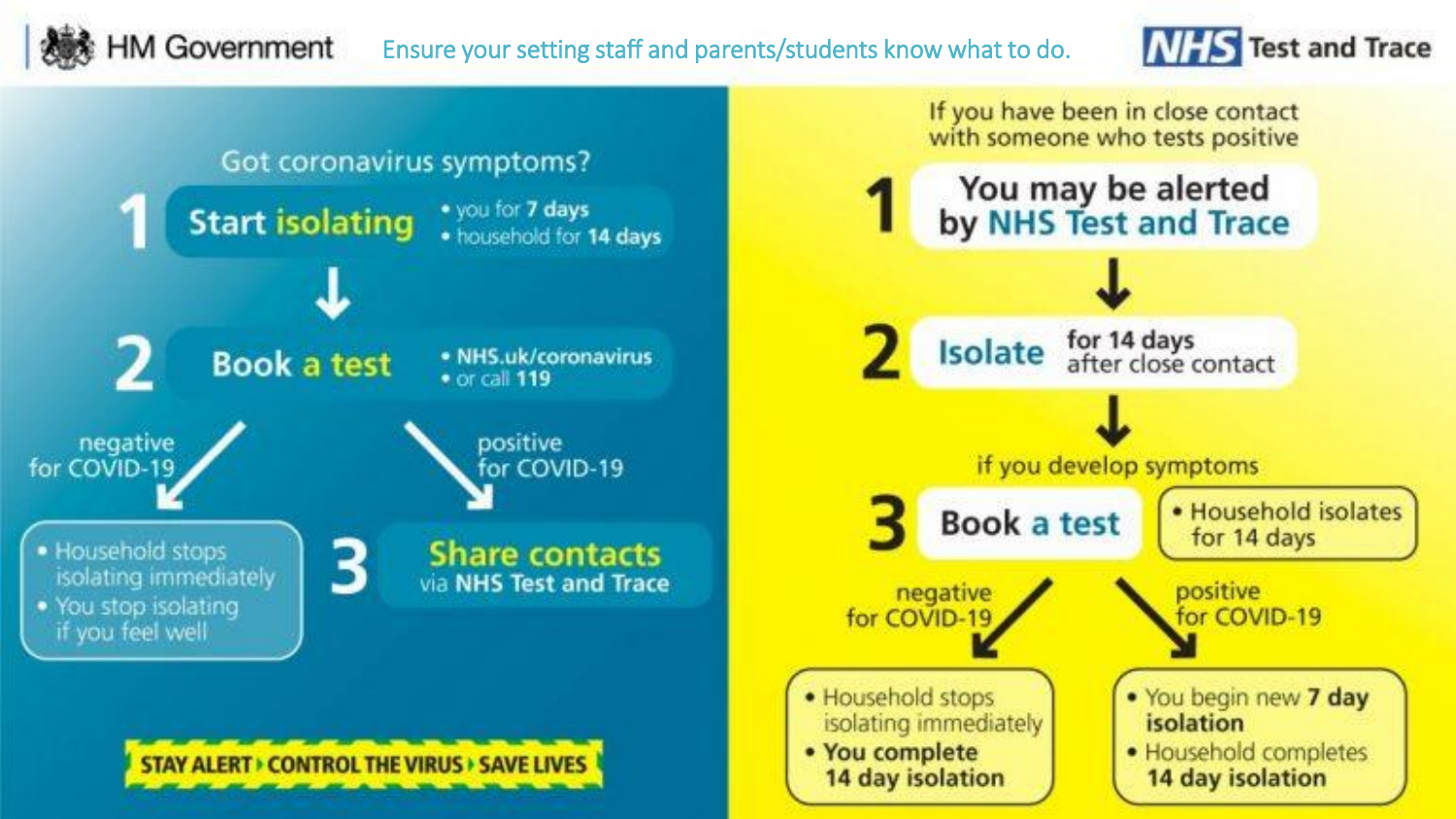#### **HM Government** Ensure your setting staff and parents/students know what to do.



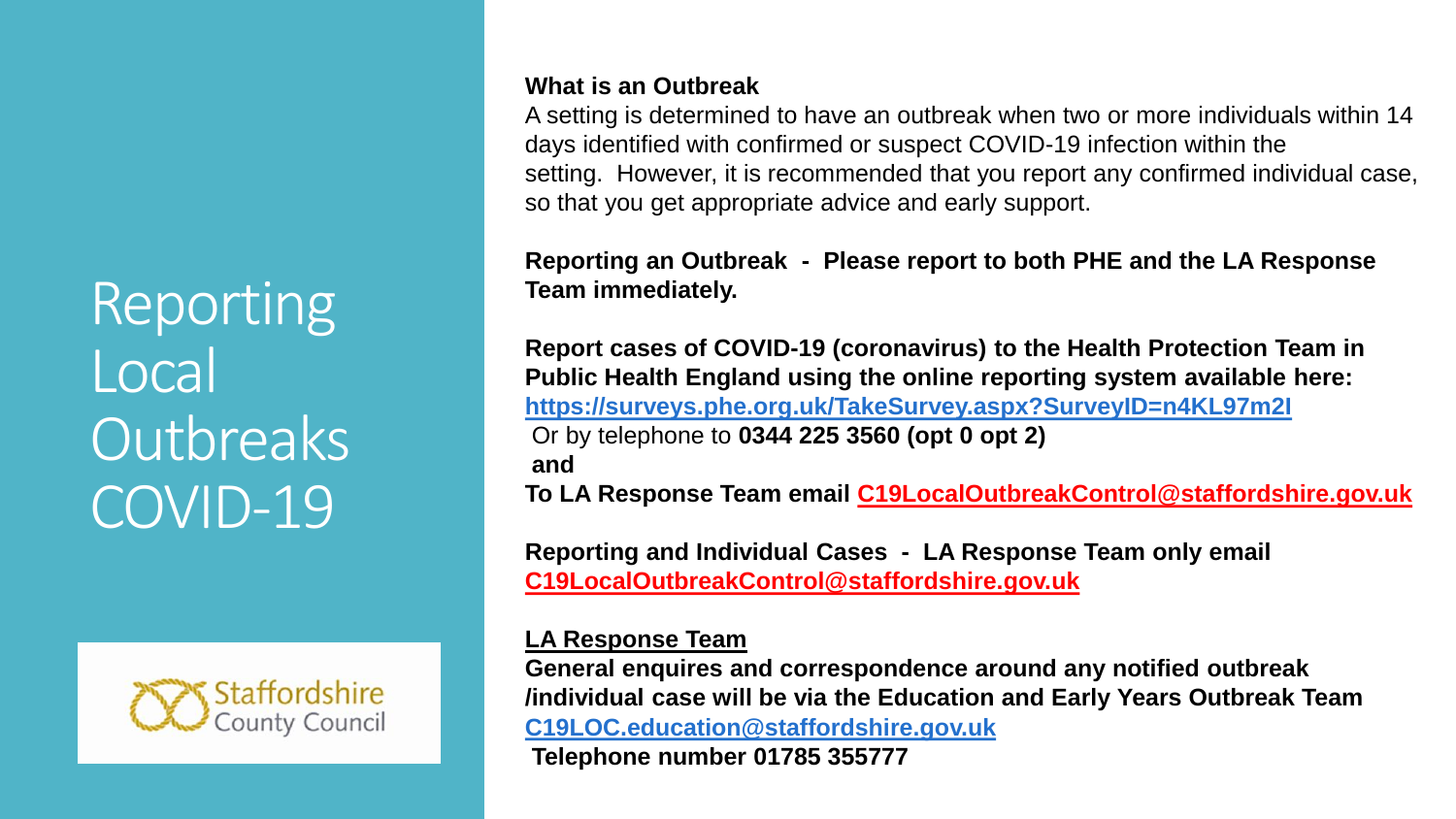Reporting Local **Outbreaks** COVID-19



#### **What is an Outbreak**

A setting is determined to have an outbreak when two or more individuals within 14 days identified with confirmed or suspect COVID-19 infection within the setting. However, it is recommended that you report any confirmed individual case, so that you get appropriate advice and early support.

**Reporting an Outbreak - Please report to both PHE and the LA Response Team immediately.**

**Report cases of COVID-19 (coronavirus) to the Health Protection Team in Public Health England using the online reporting system available here: <https://surveys.phe.org.uk/TakeSurvey.aspx?SurveyID=n4KL97m2I>** Or by telephone to **0344 225 3560 (opt 0 opt 2) and To LA Response Team email [C19LocalOutbreakControl@staffordshire.gov.uk](mailto:C19LocalOutbreakControl@staffordshire.gov.uk)**

**Reporting and Individual Cases - LA Response Team only email [C19LocalOutbreakControl@staffordshire.gov.uk](mailto:C19LocalOutbreakControl@staffordshire.gov.uk)**

#### **LA Response Team**

**General enquires and correspondence around any notified outbreak /individual case will be via the Education and Early Years Outbreak Team [C19LOC.education@staffordshire.gov.uk](mailto:C19LOC.education@staffordshire.gov.uk)**

**Telephone number 01785 355777**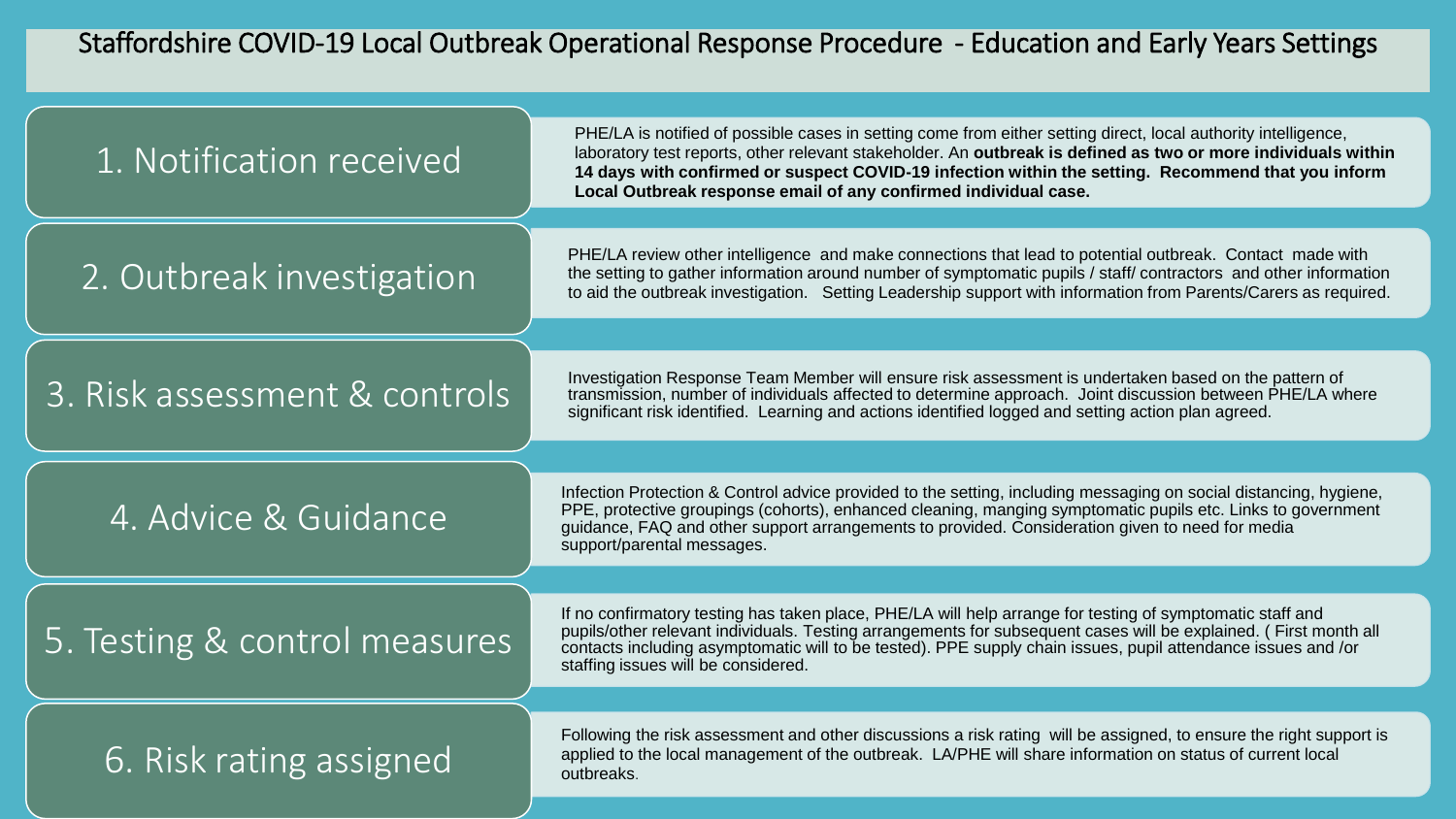#### Staffordshire COVID-19 Local Outbreak Operational Response Procedure - Education and Early Years Settings

| 1. Notification received      | PHE/LA is notified of possible cases in setting come from either setting direct, local authority intelligence,<br>laboratory test reports, other relevant stakeholder. An outbreak is defined as two or more individuals within<br>14 days with confirmed or suspect COVID-19 infection within the setting. Recommend that you inform<br>Local Outbreak response email of any confirmed individual case. |
|-------------------------------|----------------------------------------------------------------------------------------------------------------------------------------------------------------------------------------------------------------------------------------------------------------------------------------------------------------------------------------------------------------------------------------------------------|
| 2. Outbreak investigation     | PHE/LA review other intelligence and make connections that lead to potential outbreak. Contact made with<br>the setting to gather information around number of symptomatic pupils / staff/ contractors and other information<br>to aid the outbreak investigation. Setting Leadership support with information from Parents/Carers as required.                                                          |
| 3. Risk assessment & controls | Investigation Response Team Member will ensure risk assessment is undertaken based on the pattern of<br>transmission, number of individuals affected to determine approach. Joint discussion between PHE/LA where<br>significant risk identified. Learning and actions identified logged and setting action plan agreed.                                                                                 |
| 4. Advice & Guidance          | Infection Protection & Control advice provided to the setting, including messaging on social distancing, hygiene,<br>PPE, protective groupings (cohorts), enhanced cleaning, manging symptomatic pupils etc. Links to government<br>guidance, FAQ and other support arrangements to provided. Consideration given to need for media<br>support/parental messages.                                        |
| 5. Testing & control measures | If no confirmatory testing has taken place, PHE/LA will help arrange for testing of symptomatic staff and<br>pupils/other relevant individuals. Testing arrangements for subsequent cases will be explained. (First month all<br>contacts including asymptomatic will to be tested). PPE supply chain issues, pupil attendance issues and /or<br>staffing issues will be considered.                     |
| 6. Risk rating assigned       | Following the risk assessment and other discussions a risk rating will be assigned, to ensure the right support is<br>applied to the local management of the outbreak. LA/PHE will share information on status of current local<br>outbreaks.                                                                                                                                                            |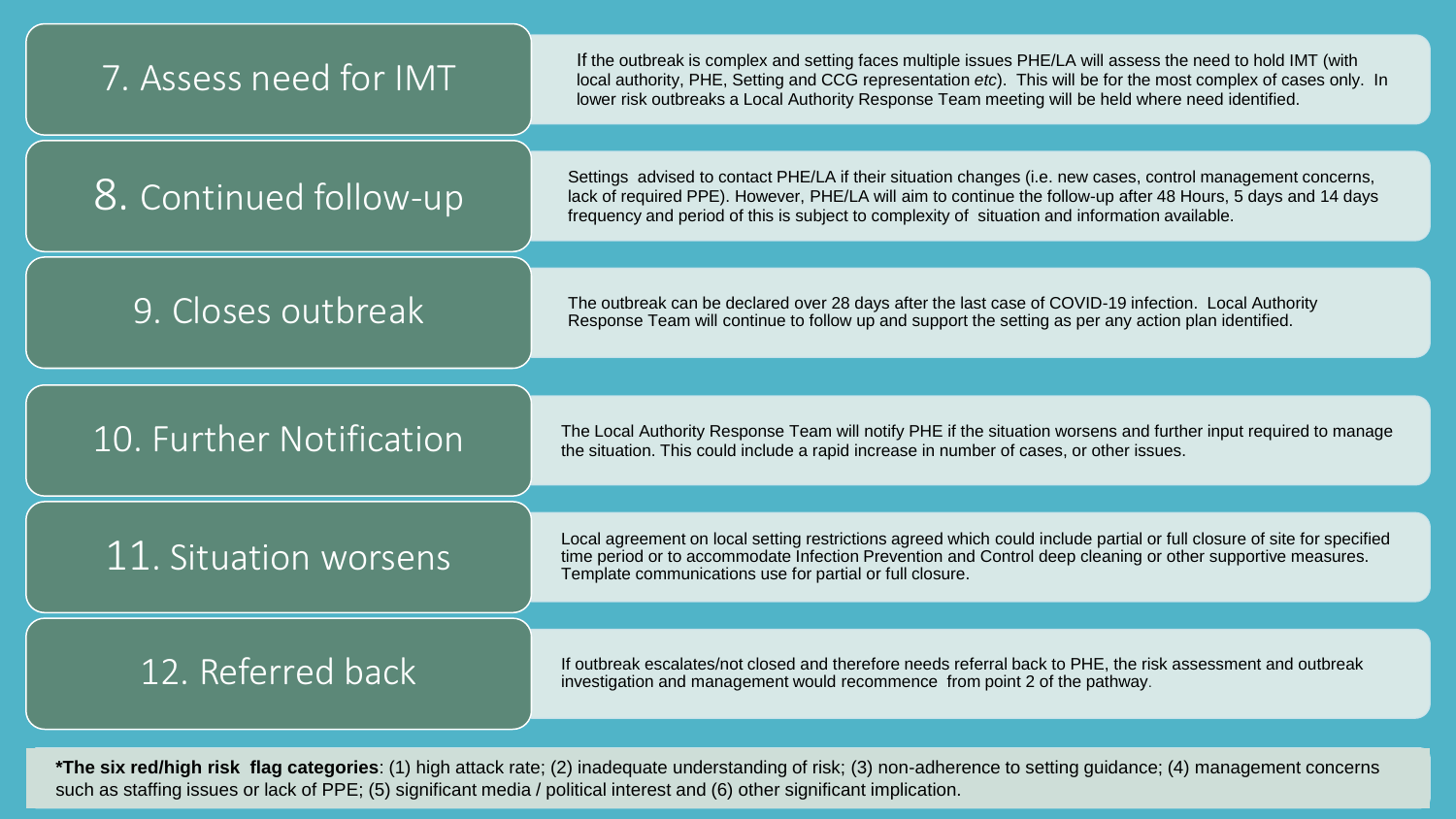| 7. Assess need for IMT   | If the outbreak is complex and setting faces multiple issues PHE/LA will assess the need to hold IMT (with<br>local authority, PHE, Setting and CCG representation etc). This will be for the most complex of cases only. In<br>lower risk outbreaks a Local Authority Response Team meeting will be held where need identified. |
|--------------------------|----------------------------------------------------------------------------------------------------------------------------------------------------------------------------------------------------------------------------------------------------------------------------------------------------------------------------------|
| 8. Continued follow-up   | Settings advised to contact PHE/LA if their situation changes (i.e. new cases, control management concerns,<br>lack of required PPE). However, PHE/LA will aim to continue the follow-up after 48 Hours, 5 days and 14 days<br>frequency and period of this is subject to complexity of situation and information available.     |
| 9. Closes outbreak       | The outbreak can be declared over 28 days after the last case of COVID-19 infection. Local Authority<br>Response Team will continue to follow up and support the setting as per any action plan identified.                                                                                                                      |
|                          |                                                                                                                                                                                                                                                                                                                                  |
| 10. Further Notification | The Local Authority Response Team will notify PHE if the situation worsens and further input required to manage<br>the situation. This could include a rapid increase in number of cases, or other issues.                                                                                                                       |
|                          |                                                                                                                                                                                                                                                                                                                                  |
| 11. Situation worsens    | Local agreement on local setting restrictions agreed which could include partial or full closure of site for specified<br>time period or to accommodate Infection Prevention and Control deep cleaning or other supportive measures.<br>Template communications use for partial or full closure.                                 |
|                          |                                                                                                                                                                                                                                                                                                                                  |
| 12. Referred back        | If outbreak escalates/not closed and therefore needs referral back to PHE, the risk assessment and outbreak<br>investigation and management would recommence from point 2 of the pathway.                                                                                                                                        |
|                          |                                                                                                                                                                                                                                                                                                                                  |

**\*The six red/high risk flag categories**: (1) high attack rate; (2) inadequate understanding of risk; (3) non-adherence to setting guidance; (4) management concerns such as staffing issues or lack of PPE; (5) significant media / political interest and (6) other significant implication.